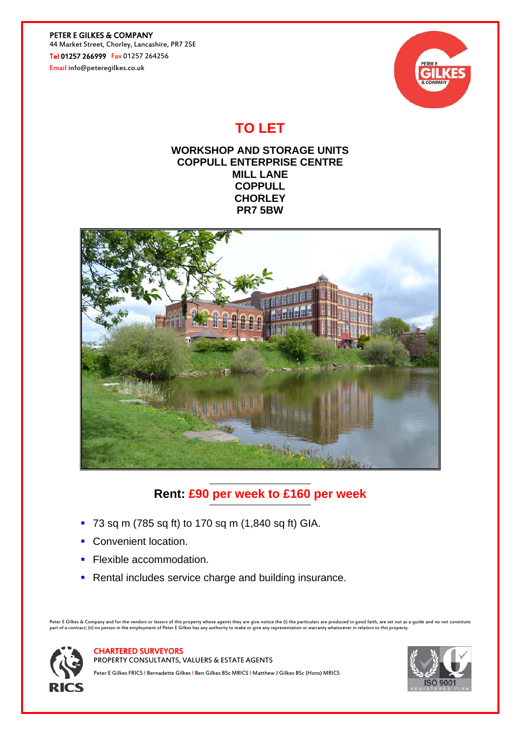PETER E GILKES & COMPANY 44 Market Street, Chorley, Lancashire, PR7 2SE Tel 01257 266999 Fax 01257 264256

Email info@peteregilkes.co.uk



# **TO LET**

## **WORKSHOP AND STORAGE UNITS COPPULL ENTERPRISE CENTRE MILL LANE COPPULL CHORLEY PR7 5BW**



## **Rent: £90 per week to £160 per week**

- 73 sq m (785 sq ft) to 170 sq m (1,840 sq ft) GIA.
- Convenient location.
- **Flexible accommodation.**
- **Rental includes service charge and building insurance.**

Peter E Gilkes & Company and for the vendors or lessors of this property whose agents they are give notice the (i) the particulars are produced in good faith, are set out as a guide and no not constitute<br>part of a contract



#### CHARTERED SURVEYORS

PROPERTY CONSULTANTS, VALUERS & ESTATE AGENTS Peter E Gilkes FRICS | Bernadette Gilkes | Ben Gilkes BSc MRICS | Matthew J Gilkes BSc (Hons) MRICS

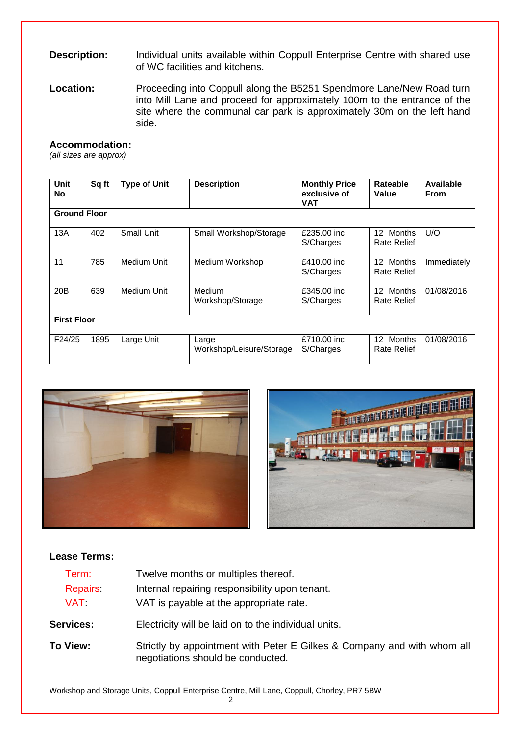## **Description:** Individual units available within Coppull Enterprise Centre with shared use of WC facilities and kitchens.

Location: Proceeding into Coppull along the B5251 Spendmore Lane/New Road turn into Mill Lane and proceed for approximately 100m to the entrance of the site where the communal car park is approximately 30m on the left hand side.

## **Accommodation:**

*(all sizes are approx)*

| <b>Unit</b><br>No   | Sq ft | <b>Type of Unit</b> | <b>Description</b>                | <b>Monthly Price</b><br>exclusive of<br>VAT | Rateable<br>Value                         | Available<br><b>From</b> |
|---------------------|-------|---------------------|-----------------------------------|---------------------------------------------|-------------------------------------------|--------------------------|
| <b>Ground Floor</b> |       |                     |                                   |                                             |                                           |                          |
| 13A                 | 402   | Small Unit          | Small Workshop/Storage            | £235.00 inc<br>S/Charges                    | <b>Months</b><br>12<br><b>Rate Relief</b> | U/O                      |
| 11                  | 785   | <b>Medium Unit</b>  | Medium Workshop                   | £410.00 inc<br>S/Charges                    | <b>Months</b><br>12<br>Rate Relief        | Immediately              |
| 20B                 | 639   | Medium Unit         | Medium<br>Workshop/Storage        | £345.00 inc<br>S/Charges                    | Months<br>12<br><b>Rate Relief</b>        | 01/08/2016               |
| <b>First Floor</b>  |       |                     |                                   |                                             |                                           |                          |
| F24/25              | 1895  | Large Unit          | Large<br>Workshop/Leisure/Storage | £710.00 inc<br>S/Charges                    | <b>Months</b><br>12<br><b>Rate Relief</b> | 01/08/2016               |





### **Lease Terms:**

| Term:<br><b>Repairs</b><br>VAT I | Twelve months or multiples thereof.<br>Internal repairing responsibility upon tenant.<br>VAT is payable at the appropriate rate. |  |  |  |
|----------------------------------|----------------------------------------------------------------------------------------------------------------------------------|--|--|--|
| <b>Services:</b>                 | Electricity will be laid on to the individual units.                                                                             |  |  |  |
| To View:                         | Strictly by appointment with Peter E Gilkes & Company and with whom all<br>negotiations should be conducted.                     |  |  |  |

Workshop and Storage Units, Coppull Enterprise Centre, Mill Lane, Coppull, Chorley, PR7 5BW

2